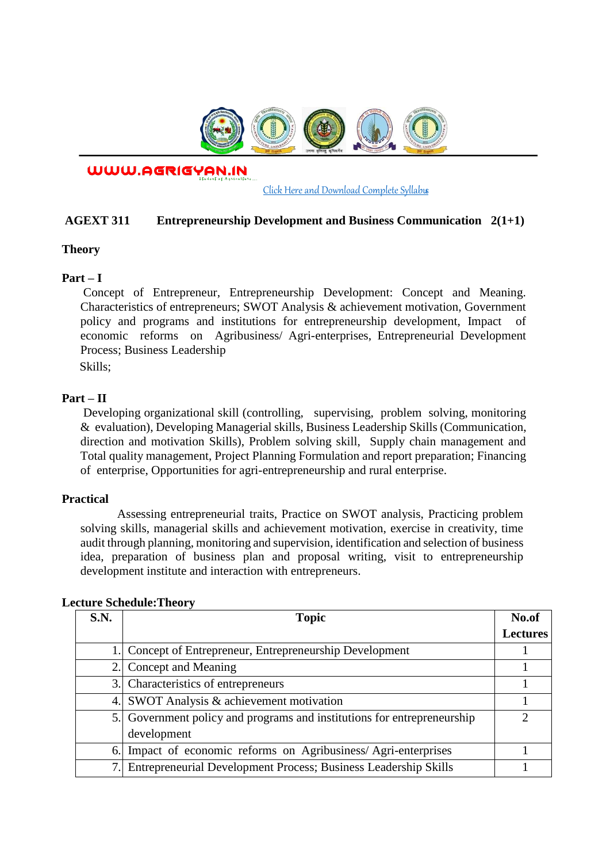

WWW.AGRIGYAN.IN

[Click Here and Download Complete Syllabus](http://agrigyan.in/)

## **AGEXT 311 Entrepreneurship Development and Business Communication 2(1+1)**

#### **Theory**

 $\overline{a}$ 

## **Part – I**

Concept of Entrepreneur, Entrepreneurship Development: Concept and Meaning. Characteristics of entrepreneurs; SWOT Analysis & achievement motivation, Government policy and programs and institutions for entrepreneurship development, Impact of economic reforms on Agribusiness/ Agri-enterprises, Entrepreneurial Development Process; Business Leadership

Skills;

## **Part – II**

Developing organizational skill (controlling, supervising, problem solving, monitoring & evaluation), Developing Managerial skills, Business Leadership Skills (Communication, direction and motivation Skills), Problem solving skill, Supply chain management and Total quality management, Project Planning Formulation and report preparation; Financing of enterprise, Opportunities for agri-entrepreneurship and rural enterprise.

## **Practical**

Assessing entrepreneurial traits, Practice on SWOT analysis, Practicing problem solving skills, managerial skills and achievement motivation, exercise in creativity, time audit through planning, monitoring and supervision, identification and selection of business idea, preparation of business plan and proposal writing, visit to entrepreneurship development institute and interaction with entrepreneurs.

| S.N. | <b>Topic</b>                                                         | No.of           |
|------|----------------------------------------------------------------------|-----------------|
|      |                                                                      | <b>Lectures</b> |
| 1.1  | Concept of Entrepreneur, Entrepreneurship Development                |                 |
| 2.1  | Concept and Meaning                                                  |                 |
|      | 3. Characteristics of entrepreneurs                                  |                 |
| 4.   | SWOT Analysis & achievement motivation                               |                 |
| 5.   | Government policy and programs and institutions for entrepreneurship | າ               |
|      | development                                                          |                 |
| 6.   | Impact of economic reforms on Agribusiness/Agri-enterprises          |                 |
|      | Entrepreneurial Development Process; Business Leadership Skills      |                 |

#### **Lecture Schedule:Theory**